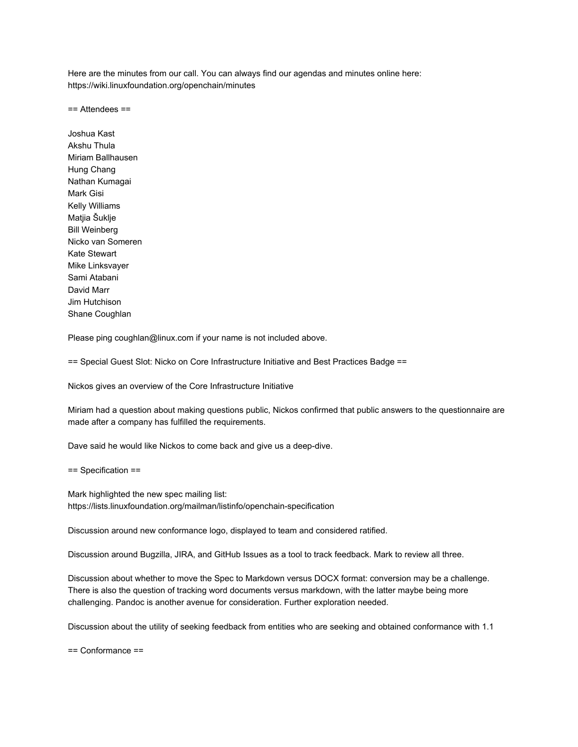Here are the minutes from our call. You can always find our agendas and minutes online here: https://wiki.linuxfoundation.org/openchain/minutes

== Attendees ==

Joshua Kast Akshu Thula Miriam Ballhausen Hung Chang Nathan Kumagai Mark Gisi Kelly Williams Matjia Šuklje Bill Weinberg Nicko van Someren Kate Stewart Mike Linksvayer Sami Atabani David Marr Jim Hutchison Shane Coughlan

Please ping coughlan@linux.com if your name is not included above.

== Special Guest Slot: Nicko on Core Infrastructure Initiative and Best Practices Badge ==

Nickos gives an overview of the Core Infrastructure Initiative

Miriam had a question about making questions public, Nickos confirmed that public answers to the questionnaire are made after a company has fulfilled the requirements.

Dave said he would like Nickos to come back and give us a deep-dive.

== Specification ==

Mark highlighted the new spec mailing list: https://lists.linuxfoundation.org/mailman/listinfo/openchain-specification

Discussion around new conformance logo, displayed to team and considered ratified.

Discussion around Bugzilla, JIRA, and GitHub Issues as a tool to track feedback. Mark to review all three.

Discussion about whether to move the Spec to Markdown versus DOCX format: conversion may be a challenge. There is also the question of tracking word documents versus markdown, with the latter maybe being more challenging. Pandoc is another avenue for consideration. Further exploration needed.

Discussion about the utility of seeking feedback from entities who are seeking and obtained conformance with 1.1

== Conformance ==